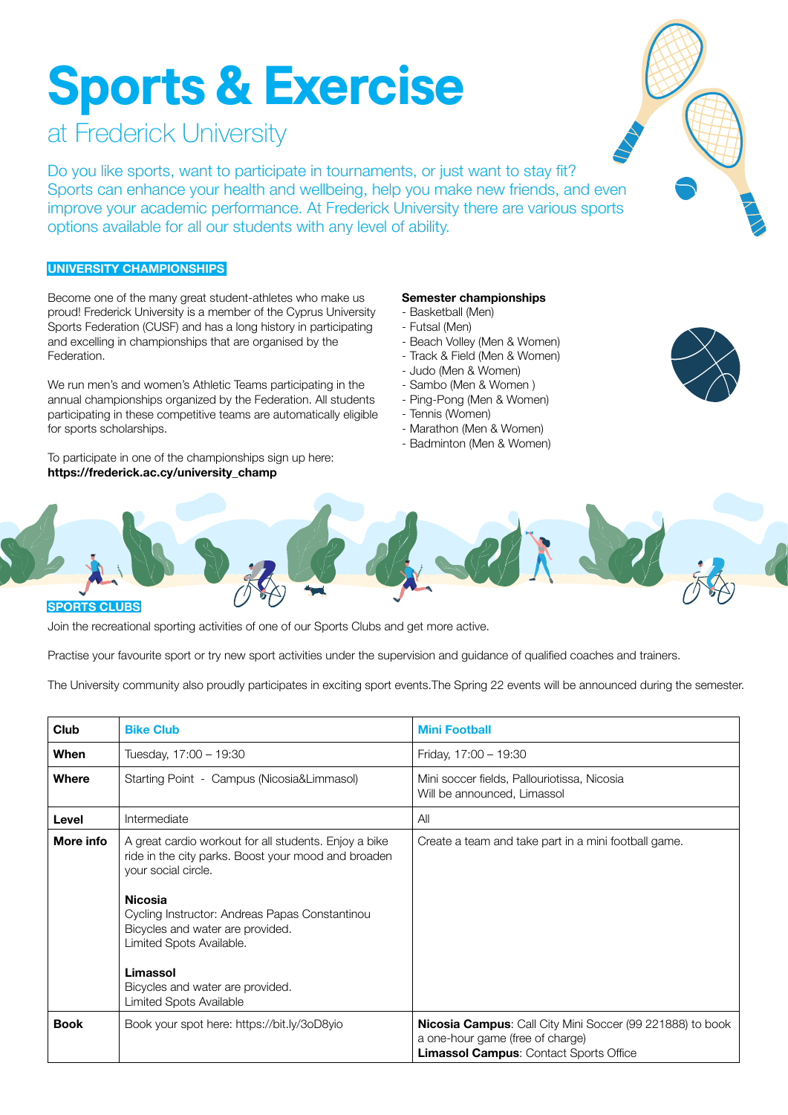# **Sports & Exercise**

# at Frederick University

Do you like sports, want to participate in tournaments, or just want to stay fit? Sports can enhance your health and wellbeing, help you make new friends, and even improve your academic performance. At Frederick University there are various sports options available for all our students with any level of ability.

# **UNIVERSITY CHAMPIONSHIPS**

Become one of the many great student-athletes who make us proud! Frederick University is a member of the Cyprus University Sports Federation (CUSF) and has a long history in participating and excelling in championships that are organised by the Federation.

We run men's and women's Athletic Teams participating in the annual championships organized by the Federation. All students participating in these competitive teams are automatically eligible for sports scholarships.

To participate in one of the championships sign up here: **https://frederick.ac.cy/university\_champ**

## **Semester championships**

- Basketball (Men)
- Futsal (Men)
- Beach Volley (Men & Women)
- Track & Field (Men & Women)
- Judo (Men & Women)
- Sambo (Men & Women )
- Ping-Pong (Men & Women)
- Tennis (Women)
- Marathon (Men & Women)
- Badminton (Men & Women)





### **SPORTS CLUBS**

Join the recreational sporting activities of one of our Sports Clubs and get more active.

Practise your favourite sport or try new sport activities under the supervision and guidance of qualified coaches and trainers.

The University community also proudly participates in exciting sport events.The Spring 22 events will be announced during the semester.

| <b>Club</b> | <b>Bike Club</b>                                                                                                                                                                                                                                                                                                                                   | <b>Mini Football</b>                                                                                                                                  |  |  |
|-------------|----------------------------------------------------------------------------------------------------------------------------------------------------------------------------------------------------------------------------------------------------------------------------------------------------------------------------------------------------|-------------------------------------------------------------------------------------------------------------------------------------------------------|--|--|
| When        | Tuesday, 17:00 - 19:30                                                                                                                                                                                                                                                                                                                             | Friday, 17:00 - 19:30                                                                                                                                 |  |  |
| Where       | Starting Point - Campus (Nicosia&Limmasol)                                                                                                                                                                                                                                                                                                         | Mini soccer fields, Pallouriotissa, Nicosia<br>Will be announced, Limassol                                                                            |  |  |
| Level       | Intermediate                                                                                                                                                                                                                                                                                                                                       | All                                                                                                                                                   |  |  |
| More info   | A great cardio workout for all students. Enjoy a bike<br>ride in the city parks. Boost your mood and broaden<br>your social circle.<br><b>Nicosia</b><br>Cycling Instructor: Andreas Papas Constantinou<br>Bicycles and water are provided.<br>Limited Spots Available.<br>Limassol<br>Bicycles and water are provided.<br>Limited Spots Available | Create a team and take part in a mini football game.                                                                                                  |  |  |
| <b>Book</b> | Book your spot here: https://bit.ly/3oD8yio                                                                                                                                                                                                                                                                                                        | <b>Nicosia Campus:</b> Call City Mini Soccer (99 221888) to book<br>a one-hour game (free of charge)<br><b>Limassol Campus: Contact Sports Office</b> |  |  |